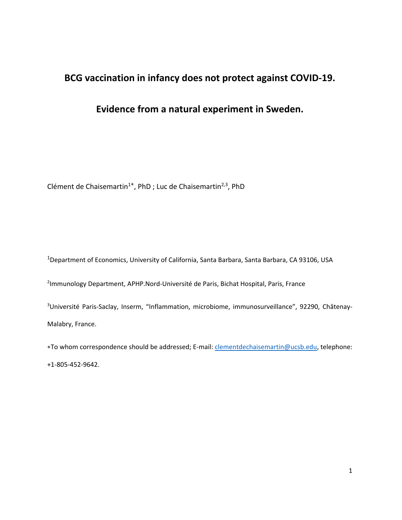# **BCG vaccination in infancy does not protect against COVID‐19.**

## **Evidence from a natural experiment in Sweden.**

Clément de Chaisemartin<sup>1</sup>\*, PhD ; Luc de Chaisemartin<sup>2,3</sup>, PhD

1 Department of Economics, University of California, Santa Barbara, Santa Barbara, CA 93106, USA

2 Immunology Department, APHP.Nord‐Université de Paris, Bichat Hospital, Paris, France

<sup>3</sup>Université Paris-Saclay, Inserm, "Inflammation, microbiome, immunosurveillance", 92290, Châtenay-Malabry, France.

∗To whom correspondence should be addressed; E‐mail: clementdechaisemartin@ucsb.edu, telephone: +1‐805‐452‐9642.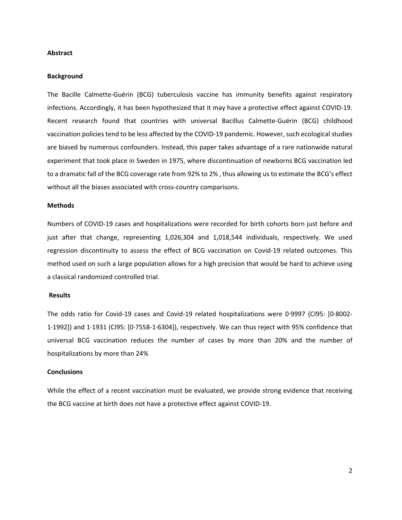## **Abstract**

#### **Background**

The Bacille Calmette-Guérin (BCG) tuberculosis vaccine has immunity benefits against respiratory infections. Accordingly, it has been hypothesized that it may have a protective effect against COVID‐19. Recent research found that countries with universal Bacillus Calmette‐Guérin (BCG) childhood vaccination policies tend to be less affected by the COVID‐19 pandemic. However, such ecological studies are biased by numerous confounders. Instead, this paper takes advantage of a rare nationwide natural experiment that took place in Sweden in 1975, where discontinuation of newborns BCG vaccination led to a dramatic fall of the BCG coverage rate from 92% to 2% , thus allowing us to estimate the BCG's effect without all the biases associated with cross‐country comparisons.

#### **Methods**

Numbers of COVID‐19 cases and hospitalizations were recorded for birth cohorts born just before and just after that change, representing 1,026,304 and 1,018,544 individuals, respectively. We used regression discontinuity to assess the effect of BCG vaccination on Covid‐19 related outcomes. This method used on such a large population allows for a high precision that would be hard to achieve using a classical randomized controlled trial.

## **Results**

The odds ratio for Covid‐19 cases and Covid‐19 related hospitalizations were 0∙9997 (CI95: [0∙8002‐ 1∙1992]) and 1∙1931 (CI95: [0∙7558‐1∙6304]), respectively. We can thus reject with 95% confidence that universal BCG vaccination reduces the number of cases by more than 20% and the number of hospitalizations by more than 24%

## **Conclusions**

While the effect of a recent vaccination must be evaluated, we provide strong evidence that receiving the BCG vaccine at birth does not have a protective effect against COVID‐19.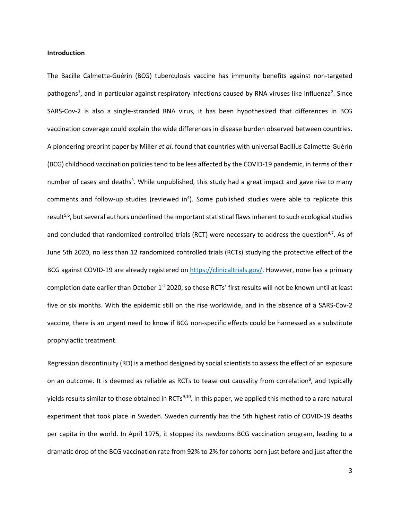## **Introduction**

The Bacille Calmette-Guérin (BCG) tuberculosis vaccine has immunity benefits against non-targeted pathogens<sup>1</sup>, and in particular against respiratory infections caused by RNA viruses like influenza<sup>2</sup>. Since SARS-Cov-2 is also a single-stranded RNA virus, it has been hypothesized that differences in BCG vaccination coverage could explain the wide differences in disease burden observed between countries. A pioneering preprint paper by Miller *et al*. found that countries with universal Bacillus Calmette‐Guérin (BCG) childhood vaccination policies tend to be less affected by the COVID‐19 pandemic, in terms of their number of cases and deaths<sup>3</sup>. While unpublished, this study had a great impact and gave rise to many comments and follow-up studies (reviewed in<sup>4</sup>). Some published studies were able to replicate this result<sup>5,6</sup>, but several authors underlined the important statistical flaws inherent to such ecological studies and concluded that randomized controlled trials (RCT) were necessary to address the question<sup>4,7</sup>. As of June 5th 2020, no less than 12 randomized controlled trials (RCTs) studying the protective effect of the BCG against COVID-19 are already registered on https://clinicaltrials.gov/. However, none has a primary completion date earlier than October 1<sup>st</sup> 2020, so these RCTs' first results will not be known until at least five or six months. With the epidemic still on the rise worldwide, and in the absence of a SARS‐Cov‐2 vaccine, there is an urgent need to know if BCG non‐specific effects could be harnessed as a substitute prophylactic treatment.

Regression discontinuity (RD) is a method designed by social scientists to assess the effect of an exposure on an outcome. It is deemed as reliable as RCTs to tease out causality from correlation<sup>8</sup>, and typically yields results similar to those obtained in RCTs<sup>9,10</sup>. In this paper, we applied this method to a rare natural experiment that took place in Sweden. Sweden currently has the 5th highest ratio of COVID‐19 deaths per capita in the world. In April 1975, it stopped its newborns BCG vaccination program, leading to a dramatic drop of the BCG vaccination rate from 92% to 2% for cohorts born just before and just after the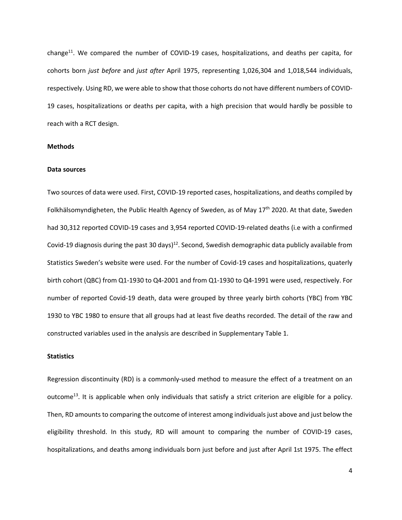change<sup>11</sup>. We compared the number of COVID-19 cases, hospitalizations, and deaths per capita, for cohorts born *just before*  and *just after* April 1975, representing 1,026,304 and 1,018,544 individuals, respectively. Using RD, we were able to show that those cohorts do not have different numbers of COVID‐ 19 cases, hospitalizations or deaths per capita, with a high precision that would hardly be possible to reach with a RCT design.

## **Methods**

#### **Data sources**

Two sources of data were used. First, COVID‐19 reported cases, hospitalizations, and deaths compiled by Folkhälsomyndigheten, the Public Health Agency of Sweden, as of May 17th 2020. At that date, Sweden had 30,312 reported COVID‐19 cases and 3,954 reported COVID‐19‐related deaths (i.e with a confirmed Covid-19 diagnosis during the past 30 days)<sup>12</sup>. Second, Swedish demographic data publicly available from Statistics Sweden's website were used. For the number of Covid‐19 cases and hospitalizations, quaterly birth cohort (QBC) from Q1‐1930 to Q4‐2001 and from Q1‐1930 to Q4‐1991 were used, respectively. For number of reported Covid‐19 death, data were grouped by three yearly birth cohorts (YBC) from YBC 1930 to YBC 1980 to ensure that all groups had at least five deaths recorded. The detail of the raw and constructed variables used in the analysis are described in Supplementary Table 1.

#### **Statistics**

Regression discontinuity (RD) is a commonly-used method to measure the effect of a treatment on an outcome<sup>13</sup>. It is applicable when only individuals that satisfy a strict criterion are eligible for a policy. Then, RD amounts to comparing the outcome of interest among individuals just above and just below the eligibility threshold. In this study, RD will amount to comparing the number of COVID-19 cases, hospitalizations, and deaths among individuals born just before and just after April 1st 1975. The effect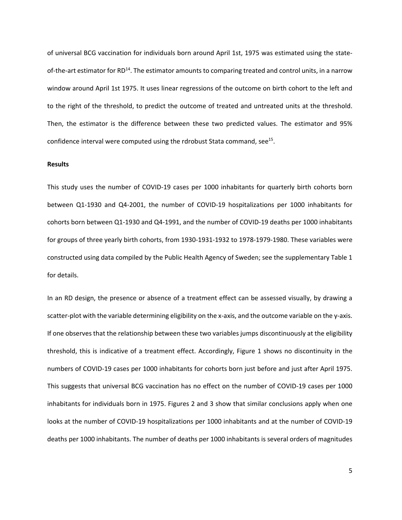of universal BCG vaccination for individuals born around April 1st, 1975 was estimated using the state‐ of-the-art estimator for RD<sup>14</sup>. The estimator amounts to comparing treated and control units, in a narrow window around April 1st 1975. It uses linear regressions of the outcome on birth cohort to the left and to the right of the threshold, to predict the outcome of treated and untreated units at the threshold. Then, the estimator is the difference between these two predicted values. The estimator and 95% confidence interval were computed using the rdrobust Stata command, see<sup>15</sup>.

## **Results**

This study uses the number of COVID-19 cases per 1000 inhabitants for quarterly birth cohorts born between Q1‐1930 and Q4‐2001, the number of COVID‐19 hospitalizations per 1000 inhabitants for cohorts born between Q1‐1930 and Q4‐1991, and the number of COVID‐19 deaths per 1000 inhabitants for groups of three yearly birth cohorts, from 1930‐1931‐1932 to 1978‐1979‐1980. These variables were constructed using data compiled by the Public Health Agency of Sweden; see the supplementary Table 1 for details.

In an RD design, the presence or absence of a treatment effect can be assessed visually, by drawing a scatter-plot with the variable determining eligibility on the x-axis, and the outcome variable on the y-axis. If one observes that the relationship between these two variables jumps discontinuously at the eligibility threshold, this is indicative of a treatment effect. Accordingly, Figure 1 shows no discontinuity in the numbers of COVID‐19 cases per 1000 inhabitants for cohorts born just before and just after April 1975. This suggests that universal BCG vaccination has no effect on the number of COVID‐19 cases per 1000 inhabitants for individuals born in 1975. Figures 2 and 3 show that similar conclusions apply when one looks at the number of COVID‐19 hospitalizations per 1000 inhabitants and at the number of COVID‐19 deaths per 1000 inhabitants. The number of deaths per 1000 inhabitants is several orders of magnitudes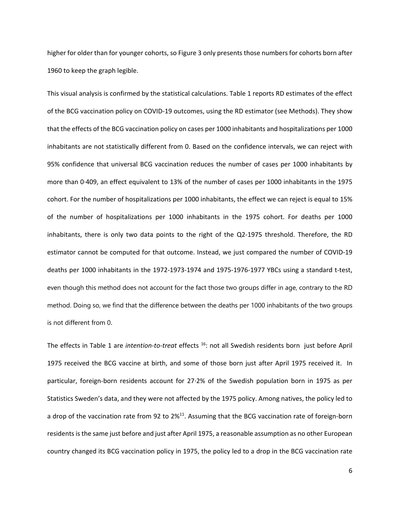higher for older than for younger cohorts, so Figure 3 only presents those numbers for cohorts born after 1960 to keep the graph legible.

This visual analysis is confirmed by the statistical calculations. Table 1 reports RD estimates of the effect of the BCG vaccination policy on COVID‐19 outcomes, using the RD estimator (see Methods). They show that the effects of the BCG vaccination policy on cases per 1000 inhabitants and hospitalizations per 1000 inhabitants are not statistically different from 0. Based on the confidence intervals, we can reject with 95% confidence that universal BCG vaccination reduces the number of cases per 1000 inhabitants by more than 0∙409, an effect equivalent to 13% of the number of cases per 1000 inhabitants in the 1975 cohort. For the number of hospitalizations per 1000 inhabitants, the effect we can reject is equal to 15% of the number of hospitalizations per 1000 inhabitants in the 1975 cohort. For deaths per 1000 inhabitants, there is only two data points to the right of the Q2-1975 threshold. Therefore, the RD estimator cannot be computed for that outcome. Instead, we just compared the number of COVID‐19 deaths per 1000 inhabitants in the 1972‐1973‐1974 and 1975‐1976‐1977 YBCs using a standard t‐test, even though this method does not account for the fact those two groups differ in age, contrary to the RD method. Doing so, we find that the difference between the deaths per 1000 inhabitants of the two groups is not different from 0.

The effects in Table 1 are *intention*‐*to‐treat* effects 16: not all Swedish residents born just before April 1975 received the BCG vaccine at birth, and some of those born just after April 1975 received it. In particular, foreign-born residents account for 27⋅2% of the Swedish population born in 1975 as per Statistics Sweden's data, and they were not affected by the 1975 policy. Among natives, the policy led to a drop of the vaccination rate from 92 to 2%<sup>11</sup>. Assuming that the BCG vaccination rate of foreign-born residents is the same just before and just after April 1975, a reasonable assumption as no other European country changed its BCG vaccination policy in 1975, the policy led to a drop in the BCG vaccination rate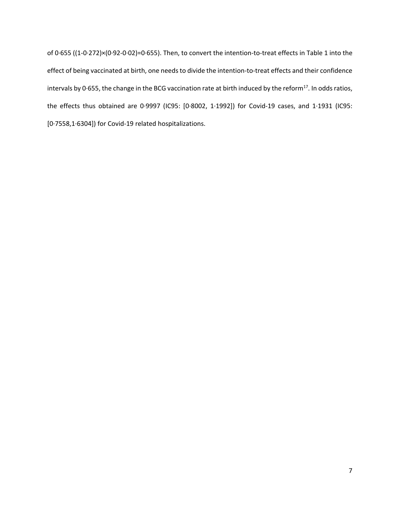of 0*∙*655 ((1‐0∙272)×(0∙92‐0∙02)=0∙655). Then, to convert the intention‐to‐treat effects in Table 1 into the effect of being vaccinated at birth, one needs to divide the intention-to-treat effects and their confidence intervals by 0∙655, the change in the BCG vaccination rate at birth induced by the reform17. In odds ratios, the effects thus obtained are 0∙9997 (IC95: [0∙8002, 1∙1992]) for Covid‐19 cases, and 1∙1931 (IC95: [0∙7558,1∙6304]) for Covid‐19 related hospitalizations.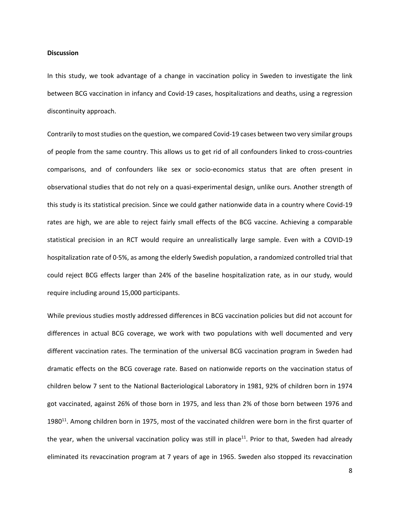## **Discussion**

In this study, we took advantage of a change in vaccination policy in Sweden to investigate the link between BCG vaccination in infancy and Covid-19 cases, hospitalizations and deaths, using a regression discontinuity approach.

Contrarily to most studies on the question, we compared Covid‐19 cases between two very similar groups of people from the same country. This allows us to get rid of all confounders linked to cross‐countries comparisons, and of confounders like sex or socio-economics status that are often present in observational studies that do not rely on a quasi‐experimental design, unlike ours. Another strength of this study is its statistical precision. Since we could gather nationwide data in a country where Covid‐19 rates are high, we are able to reject fairly small effects of the BCG vaccine. Achieving a comparable statistical precision in an RCT would require an unrealistically large sample. Even with a COVID‐19 hospitalization rate of 0∙5%, as among the elderly Swedish population, a randomized controlled trial that could reject BCG effects larger than 24% of the baseline hospitalization rate, as in our study, would require including around 15,000 participants.

While previous studies mostly addressed differences in BCG vaccination policies but did not account for differences in actual BCG coverage, we work with two populations with well documented and very different vaccination rates. The termination of the universal BCG vaccination program in Sweden had dramatic effects on the BCG coverage rate. Based on nationwide reports on the vaccination status of children below 7 sent to the National Bacteriological Laboratory in 1981, 92% of children born in 1974 got vaccinated, against 26% of those born in 1975, and less than 2% of those born between 1976 and 1980<sup>11</sup>. Among children born in 1975, most of the vaccinated children were born in the first quarter of the year, when the universal vaccination policy was still in place<sup>11</sup>. Prior to that, Sweden had already eliminated its revaccination program at 7 years of age in 1965. Sweden also stopped its revaccination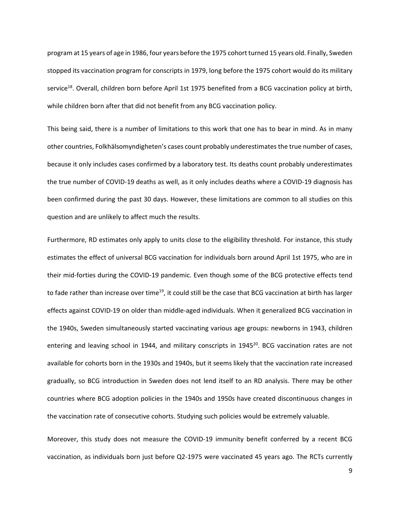program at 15 years of age in 1986, four years before the 1975 cohort turned 15 years old. Finally, Sweden stopped its vaccination program for conscripts in 1979, long before the 1975 cohort would do its military service<sup>18</sup>. Overall, children born before April 1st 1975 benefited from a BCG vaccination policy at birth, while children born after that did not benefit from any BCG vaccination policy.

This being said, there is a number of limitations to this work that one has to bear in mind. As in many other countries, Folkhälsomyndigheten's cases count probably underestimates the true number of cases, because it only includes cases confirmed by a laboratory test. Its deaths count probably underestimates the true number of COVID‐19 deaths as well, as it only includes deaths where a COVID‐19 diagnosis has been confirmed during the past 30 days. However, these limitations are common to all studies on this question and are unlikely to affect much the results.

Furthermore, RD estimates only apply to units close to the eligibility threshold. For instance, this study estimates the effect of universal BCG vaccination for individuals born around April 1st 1975, who are in their mid-forties during the COVID-19 pandemic. Even though some of the BCG protective effects tend to fade rather than increase over time<sup>19</sup>, it could still be the case that BCG vaccination at birth has larger effects against COVID‐19 on older than middle‐aged individuals. When it generalized BCG vaccination in the 1940s, Sweden simultaneously started vaccinating various age groups: newborns in 1943, children entering and leaving school in 1944, and military conscripts in 1945<sup>20</sup>. BCG vaccination rates are not available for cohorts born in the 1930s and 1940s, but it seems likely that the vaccination rate increased gradually, so BCG introduction in Sweden does not lend itself to an RD analysis. There may be other countries where BCG adoption policies in the 1940s and 1950s have created discontinuous changes in the vaccination rate of consecutive cohorts. Studying such policies would be extremely valuable.

Moreover, this study does not measure the COVID-19 immunity benefit conferred by a recent BCG vaccination, as individuals born just before Q2‐1975 were vaccinated 45 years ago. The RCTs currently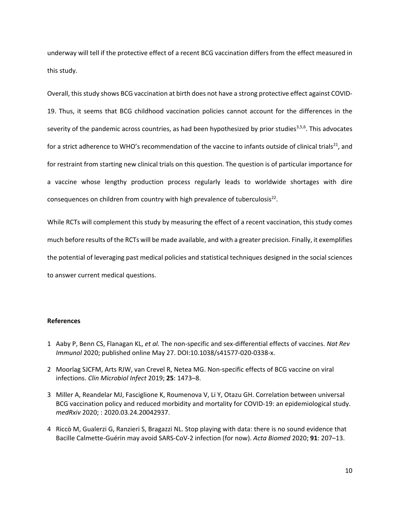underway will tell if the protective effect of a recent BCG vaccination differs from the effect measured in this study.

Overall, this study shows BCG vaccination at birth does not have a strong protective effect against COVID‐ 19. Thus, it seems that BCG childhood vaccination policies cannot account for the differences in the severity of the pandemic across countries, as had been hypothesized by prior studies $3,5,6$ . This advocates for a strict adherence to WHO's recommendation of the vaccine to infants outside of clinical trials<sup>21</sup>, and for restraint from starting new clinical trials on this question. The question is of particular importance for a vaccine whose lengthy production process regularly leads to worldwide shortages with dire consequences on children from country with high prevalence of tuberculosis<sup>22</sup>.

While RCTs will complement this study by measuring the effect of a recent vaccination, this study comes much before results of the RCTs will be made available, and with a greater precision. Finally, it exemplifies the potential of leveraging past medical policies and statistical techniques designed in the social sciences to answer current medical questions.

## **References**

- 1 Aaby P, Benn CS, Flanagan KL, *et al.* The non‐specific and sex‐differential effects of vaccines. *Nat Rev Immunol* 2020; published online May 27. DOI:10.1038/s41577‐020‐0338‐x.
- 2 Moorlag SJCFM, Arts RJW, van Crevel R, Netea MG. Non‐specific effects of BCG vaccine on viral infections. *Clin Microbiol Infect* 2019; **25**: 1473–8.
- 3 Miller A, Reandelar MJ, Fasciglione K, Roumenova V, Li Y, Otazu GH. Correlation between universal BCG vaccination policy and reduced morbidity and mortality for COVID‐19: an epidemiological study. *medRxiv* 2020; : 2020.03.24.20042937.
- 4 Riccò M, Gualerzi G, Ranzieri S, Bragazzi NL. Stop playing with data: there is no sound evidence that Bacille Calmette‐Guérin may avoid SARS‐CoV‐2 infection (for now). *Acta Biomed* 2020; **91**: 207–13.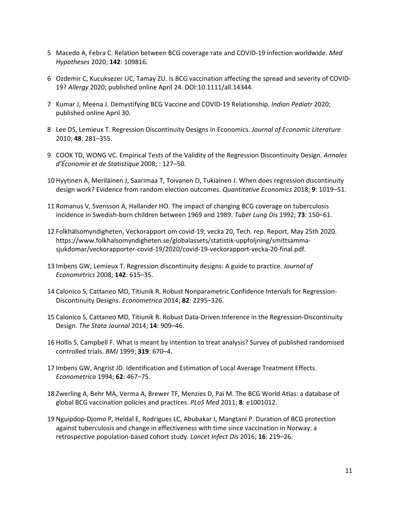- 5 Macedo A, Febra C. Relation between BCG coverage rate and COVID‐19 infection worldwide. *Med Hypotheses* 2020; **142**: 109816.
- 6 Ozdemir C, Kucuksezer UC, Tamay ZU. Is BCG vaccination affecting the spread and severity of COVID‐ 19? *Allergy* 2020; published online April 24. DOI:10.1111/all.14344.
- 7 Kumar J, Meena J. Demystifying BCG Vaccine and COVID‐19 Relationship. *Indian Pediatr* 2020; published online April 30.
- 8 Lee DS, Lemieux T. Regression Discontinuity Designs in Economics. *Journal of Economic Literature* 2010; **48**: 281–355.
- 9 COOK TD, WONG VC. Empirical Tests of the Validity of the Regression Discontinuity Design. *Annales d'Économie et de Statistique* 2008; : 127–50.
- 10 Hyytinen A, Meriläinen J, Saarimaa T, Toivanen O, Tukiainen J. When does regression discontinuity design work? Evidence from random election outcomes. *Quantitative Economics* 2018; **9**: 1019–51.
- 11 Romanus V, Svensson A, Hallander HO. The impact of changing BCG coverage on tuberculosis incidence in Swedish‐born children between 1969 and 1989. *Tuber Lung Dis* 1992; **73**: 150–61.
- 12 Folkhälsomyndigheten, Veckorapport om covid‐19, vecka 20, Tech. rep. Report, May 25th 2020. https://www.folkhalsomyndigheten.se/globalassets/statistik‐uppfoljning/smittsamma‐ sjukdomar/veckorapporter‐covid‐19/2020/covid‐19‐veckorapport‐vecka‐20‐final.pdf.
- 13 Imbens GW, Lemieux T. Regression discontinuity designs: A guide to practice. *Journal of Econometrics* 2008; **142**: 615–35.
- 14 Calonico S, Cattaneo MD, Titiunik R. Robust Nonparametric Confidence Intervals for Regression‐ Discontinuity Designs. *Econometrica* 2014; **82**: 2295–326.
- 15 Calonico S, Cattaneo MD, Titiunik R. Robust Data‐Driven Inference in the Regression‐Discontinuity Design. *The Stata Journal* 2014; **14**: 909–46.
- 16 Hollis S, Campbell F. What is meant by intention to treat analysis? Survey of published randomised controlled trials. *BMJ* 1999; **319**: 670–4.
- 17 Imbens GW, Angrist JD. Identification and Estimation of Local Average Treatment Effects. *Econometrica* 1994; **62**: 467–75.
- 18 Zwerling A, Behr MA, Verma A, Brewer TF, Menzies D, Pai M. The BCG World Atlas: a database of global BCG vaccination policies and practices. *PLoS Med* 2011; **8**: e1001012.
- 19 Nguipdop‐Djomo P, Heldal E, Rodrigues LC, Abubakar I, Mangtani P. Duration of BCG protection against tuberculosis and change in effectiveness with time since vaccination in Norway: a retrospective population‐based cohort study. *Lancet Infect Dis* 2016; **16**: 219–26.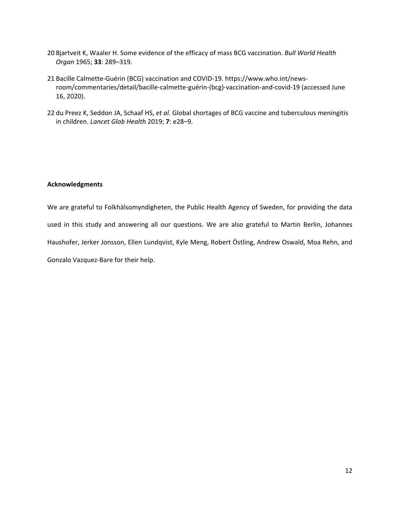- 20 Bjartveit K, Waaler H. Some evidence of the efficacy of mass BCG vaccination. *Bull World Health Organ* 1965; **33**: 289–319.
- 21 Bacille Calmette‐Guérin (BCG) vaccination and COVID‐19. https://www.who.int/news‐ room/commentaries/detail/bacille‐calmette‐guérin‐(bcg)‐vaccination‐and‐covid‐19 (accessed June 16, 2020).
- 22 du Preez K, Seddon JA, Schaaf HS, *et al.* Global shortages of BCG vaccine and tuberculous meningitis in children. *Lancet Glob Health* 2019; **7**: e28–9.

## **Acknowledgments**

We are grateful to Folkhälsomyndigheten, the Public Health Agency of Sweden, for providing the data used in this study and answering all our questions. We are also grateful to Martin Berlin, Johannes Haushofer, Jerker Jonsson, Ellen Lundqvist, Kyle Meng, Robert Östling, Andrew Oswald, Moa Rehn, and Gonzalo Vazquez‐Bare for their help.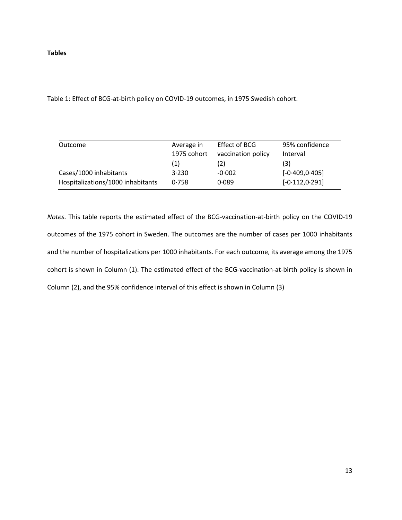**Tables** 

Table 1: Effect of BCG‐at‐birth policy on COVID‐19 outcomes, in 1975 Swedish cohort.

| Outcome                           | Average in  | Effect of BCG      | 95% confidence    |
|-----------------------------------|-------------|--------------------|-------------------|
|                                   | 1975 cohort | vaccination policy | Interval          |
|                                   | (1)         | (2)                | (3)               |
| Cases/1000 inhabitants            | 3.230       | $-0.002$           | $[-0.409, 0.405]$ |
| Hospitalizations/1000 inhabitants | 0.758       | 0.089              | $[-0.112, 0.291]$ |

*Notes*. This table reports the estimated effect of the BCG‐vaccination‐at‐birth policy on the COVID‐19 outcomes of the 1975 cohort in Sweden. The outcomes are the number of cases per 1000 inhabitants and the number of hospitalizations per 1000 inhabitants. For each outcome, its average among the 1975 cohort is shown in Column (1). The estimated effect of the BCG‐vaccination‐at‐birth policy is shown in Column (2), and the 95% confidence interval of this effect is shown in Column (3)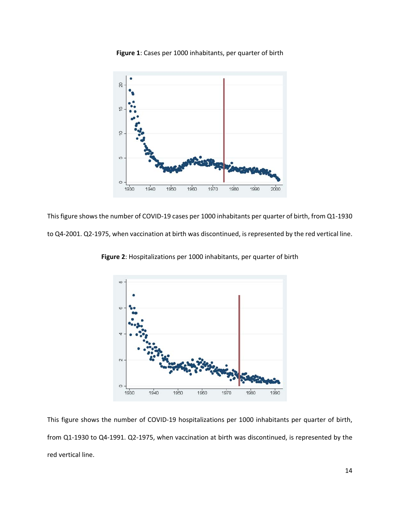



This figure shows the number of COVID‐19 cases per 1000 inhabitants per quarter of birth, from Q1‐1930 to Q4-2001. Q2-1975, when vaccination at birth was discontinued, is represented by the red vertical line.



**Figure 2**: Hospitalizations per 1000 inhabitants, per quarter of birth

This figure shows the number of COVID‐19 hospitalizations per 1000 inhabitants per quarter of birth, from Q1-1930 to Q4-1991. Q2-1975, when vaccination at birth was discontinued, is represented by the red vertical line.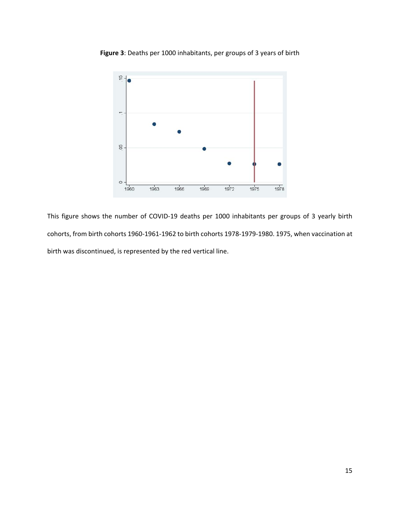

**Figure 3**: Deaths per 1000 inhabitants, per groups of 3 years of birth

This figure shows the number of COVID-19 deaths per 1000 inhabitants per groups of 3 yearly birth cohorts, from birth cohorts 1960‐1961‐1962 to birth cohorts 1978‐1979‐1980. 1975, when vaccination at birth was discontinued, is represented by the red vertical line.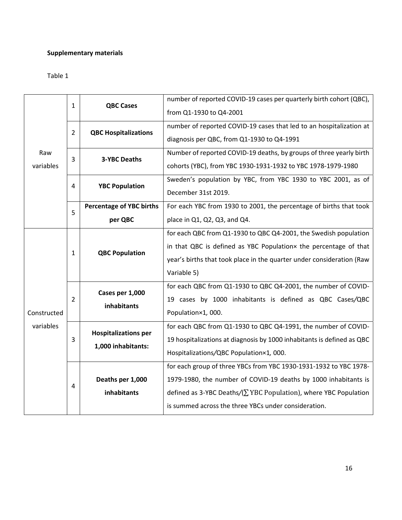## **Supplementary materials**

## Table 1

| Raw<br>variables         | $\mathbf{1}$ | <b>QBC Cases</b>                                  | number of reported COVID-19 cases per quarterly birth cohort (QBC),      |
|--------------------------|--------------|---------------------------------------------------|--------------------------------------------------------------------------|
|                          |              |                                                   | from Q1-1930 to Q4-2001                                                  |
|                          | 2            | <b>QBC Hospitalizations</b>                       | number of reported COVID-19 cases that led to an hospitalization at      |
|                          |              |                                                   | diagnosis per QBC, from Q1-1930 to Q4-1991                               |
|                          | 3            | <b>3-YBC Deaths</b>                               | Number of reported COVID-19 deaths, by groups of three yearly birth      |
|                          |              |                                                   | cohorts (YBC), from YBC 1930-1931-1932 to YBC 1978-1979-1980             |
|                          | 4            | <b>YBC Population</b>                             | Sweden's population by YBC, from YBC 1930 to YBC 2001, as of             |
|                          |              |                                                   | December 31st 2019.                                                      |
|                          | 5            | <b>Percentage of YBC births</b>                   | For each YBC from 1930 to 2001, the percentage of births that took       |
|                          |              | per QBC                                           | place in Q1, Q2, Q3, and Q4.                                             |
| Constructed<br>variables | 1            | <b>QBC Population</b>                             | for each QBC from Q1-1930 to QBC Q4-2001, the Swedish population         |
|                          |              |                                                   | in that QBC is defined as YBC Populationx the percentage of that         |
|                          |              |                                                   | year's births that took place in the quarter under consideration (Raw    |
|                          |              |                                                   | Variable 5)                                                              |
|                          | 2            | Cases per 1,000<br>inhabitants                    | for each QBC from Q1-1930 to QBC Q4-2001, the number of COVID-           |
|                          |              |                                                   | 19 cases by 1000 inhabitants is defined as QBC Cases/QBC                 |
|                          |              |                                                   | Population×1, 000.                                                       |
|                          | 3            | <b>Hospitalizations per</b><br>1,000 inhabitants: | for each QBC from Q1-1930 to QBC Q4-1991, the number of COVID-           |
|                          |              |                                                   | 19 hospitalizations at diagnosis by 1000 inhabitants is defined as QBC   |
|                          |              |                                                   | Hospitalizations/QBC Population×1, 000.                                  |
|                          |              |                                                   | for each group of three YBCs from YBC 1930-1931-1932 to YBC 1978-        |
|                          | 4            | Deaths per 1,000                                  | 1979-1980, the number of COVID-19 deaths by 1000 inhabitants is          |
|                          |              | inhabitants                                       | defined as 3-YBC Deaths/ $(\Sigma$ YBC Population), where YBC Population |
|                          |              |                                                   | is summed across the three YBCs under consideration.                     |